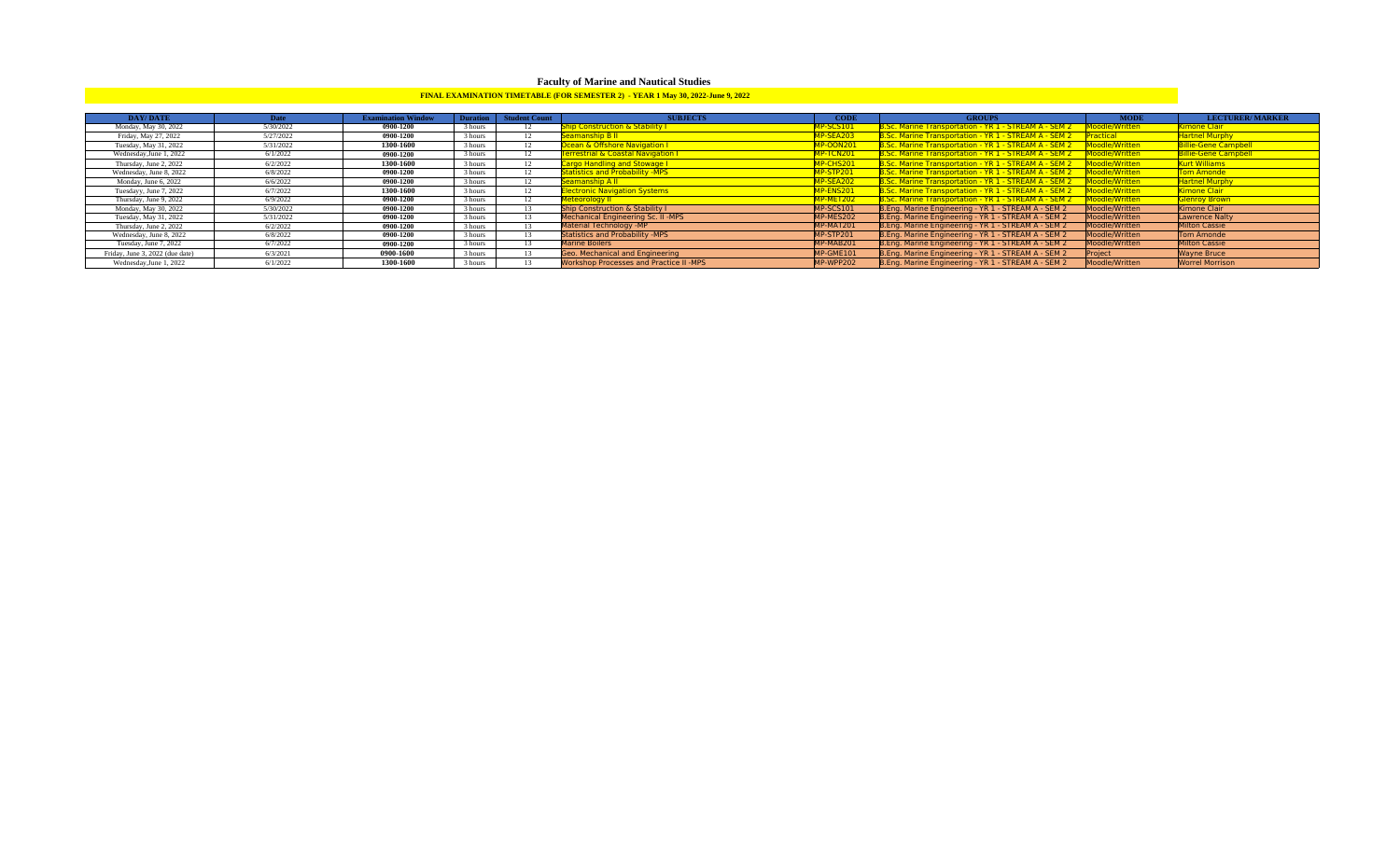# **Faculty of Marine and Nautical Studies**

# **FINAL EXAMINATION TIMETABLE (FOR SEMESTER 2) - YEAR 1 May 30, 2022-June 9, 2022**

| <b>DAY/DATE</b>                 | Date      | <b>Examination Window</b> |         | Duration   Student Count | <b>SUBJECTS</b>                                | <b>CODE</b>      | <b>GROUPS</b>                                                        | <b>MODE</b>      | <b>LECTURER/MARKER</b>      |
|---------------------------------|-----------|---------------------------|---------|--------------------------|------------------------------------------------|------------------|----------------------------------------------------------------------|------------------|-----------------------------|
| Monday, May 30, 2022            | 5/30/2022 | 0900-1200                 | 3 hours |                          | hip Construction & Stability I                 | <b>IP-SCS101</b> | 3.Sc. Marine Transportation - YR 1 - STREAM A - SEM 2                | Moodle/Written   | Cimone Clair                |
| Friday, May 27, 2022            | 5/27/2022 | 0900-1200                 | 3 hours |                          | eamanship B II                                 | <b>IP-SEA203</b> | 3.Sc. Marine Transportation - YR 1 - STREAM A - SEM 2                | <b>Practical</b> | <b>Hartnel Murphy</b>       |
| Tuesday, May 31, 2022           | 5/31/2022 | 1300-1600                 | 3 hours |                          | <b>Dcean &amp; Offshore Navigation I</b>       | 1P-OON201        | 3.Sc. Marine Transportation - YR 1 - STREAM A - SEM 2                | Moodle/Written   | <b>Billie-Gene Campbell</b> |
| Wednesday, June 1, 2022         | 6/1/2022  | 0900-1200                 | 3 hours | 12                       | <b>errestrial &amp; Coastal Navigation I</b>   | <b>MP-TCN201</b> | 3.Sc. Marine Transportation - YR 1 - STREAM A - SEM 2 Moodle/Written |                  | <b>Billie-Gene Campbell</b> |
| Thursday, June 2, 2022          | 6/2/2022  | 1300-1600                 | 3 hours | 12                       | Cargo Handling and Stowage I                   | <b>MP-CHS201</b> | 3.Sc. Marine Transportation - YR 1 - STREAM A - SEM 2 Moodle/Written |                  | Kurt Williams               |
| Wednesday, June 8, 2022         | 6/8/2022  | 0900-1200                 | 3 hours |                          | <b>Statistics and Probability -MPS</b>         | <b>MP-STP201</b> | Sc. Marine Transportation - YR 1 - STREAM A - SEM 2 Moodle/Written   |                  | Tom Amonde                  |
| Monday, June 6, 2022            | 6/6/2022  | 0900-1200                 | 3 hours | 12                       | <b>Geamanship A II</b>                         | <b>MP-SEA202</b> | 8.Sc. Marine Transportation - YR 1 - STREAM A - SEM 2                | Moodle/Written   | <b>Hartnel Murphy</b>       |
| Tuesdayy, June 7, 2022          | 6/7/2022  | 1300-1600                 | 3 hours | 12                       | <b>lectronic Navigation Systems</b>            | <b>AP-ENS201</b> | B.Sc. Marine Transportation - YR 1 - STREAM A - SEM 2                | Moodle/Written   | Kimone Clair                |
| Thursday, June 9, 2022          | 6/9/2022  | 0900-1200                 | 3 hours | 12                       | leteorology II                                 | <b>AP-MET202</b> | 8.Sc. Marine Transportation - YR 1 - STREAM A - SEM 2                | Moodle/Written   | <b>Glenroy Brown</b>        |
| Monday, May 30, 2022            | 5/30/2022 | 0900-1200                 | 3 hours |                          | <b>Ship Construction &amp; Stability I</b>     | MP-SCS101        | B.Eng. Marine Engineering - YR 1 - STREAM A - SEM 2                  | Moodle/Written   | Kimone Clair                |
| Tuesday, May 31, 2022           | 5/31/2022 | 0900-1200                 | 3 hours |                          | Mechanical Engineering Sc. II -MPS             | MP-MES202        | B.Eng. Marine Engineering - YR 1 - STREAM A - SEM 2                  | Moodle/Written   | <b>Lawrence Nalty</b>       |
| Thursday, June 2, 2022          | 6/2/2022  | 0900-1200                 | 3 hours |                          | Material Technology -MP                        | MP-MAT201        | B.Eng. Marine Engineering - YR 1 - STREAM A - SEM 2                  | Moodle/Written   | <b>Milton Cassie</b>        |
| Wednesday, June 8, 2022         | 6/8/2022  | 0900-1200                 | 3 hours |                          | <b>Statistics and Probability -MPS</b>         | MP-STP201        | B.Eng. Marine Engineering - YR 1 - STREAM A - SEM 2                  | Moodle/Written   | Tom Amonde                  |
| Tuesday, June 7, 2022           | 6/7/2022  | 0900-1200                 | 3 hours |                          | <b>Marine Boilers</b>                          | MP-MAB201        | B.Eng. Marine Engineering - YR 1 - STREAM A - SEM 2                  | Moodle/Written   | <b>Milton Cassie</b>        |
| Friday, June 3, 2022 (due date) | 6/3/2021  | 0900-1600                 | 3 hours |                          | Geo. Mechanical and Engineering                | MP-GME101        | B.Eng. Marine Engineering - YR 1 - STREAM A - SEM 2                  | Project          | <b>Wayne Bruce</b>          |
| Wednesday, June 1, 2022         | 6/1/2022  | 1300-1600                 | 3 hours |                          | <b>Workshop Processes and Practice II -MPS</b> | MP-WPP202        | B.Eng. Marine Engineering - YR 1 - STREAM A - SEM 2                  | Moodle/Written   | <b>Worrel Morrison</b>      |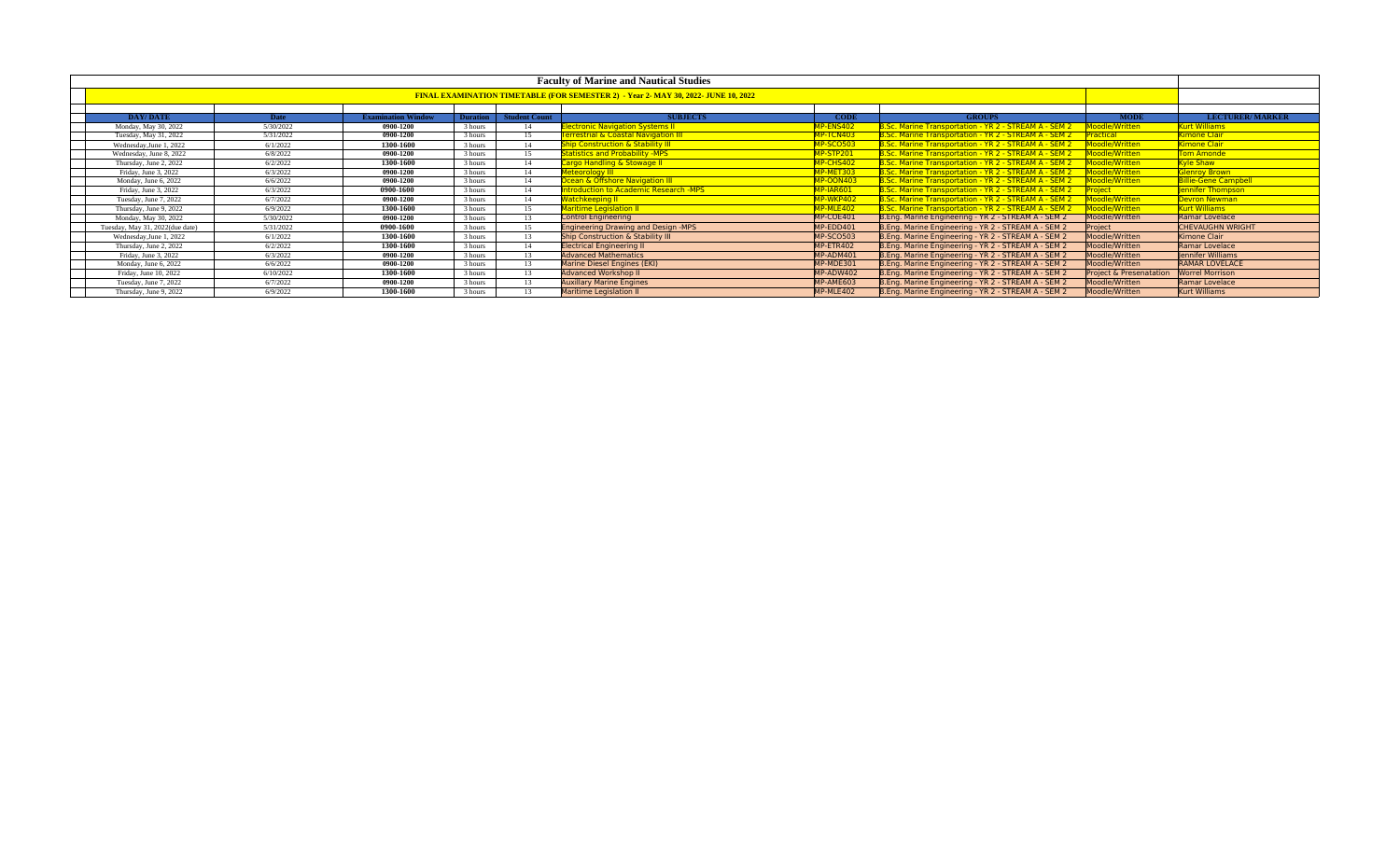| <b>Faculty of Marine and Nautical Studies</b> |             |                           |                 |                      |                                                |                              |                                                       |                                    |                             |  |  |
|-----------------------------------------------|-------------|---------------------------|-----------------|----------------------|------------------------------------------------|------------------------------|-------------------------------------------------------|------------------------------------|-----------------------------|--|--|
|                                               |             |                           |                 |                      |                                                |                              |                                                       |                                    |                             |  |  |
|                                               |             |                           |                 |                      |                                                |                              |                                                       |                                    |                             |  |  |
| DAY/DATE                                      | <b>Date</b> | <b>Examination Window</b> | <b>Duration</b> | <b>Student Count</b> | <b>SUBJECTS</b>                                | <b>CODE</b><br><b>GROUPS</b> |                                                       |                                    |                             |  |  |
| Monday, May 30, 2022                          | 5/30/2022   | 0900-1200                 | 3 hours         | 14                   | <b>lectronic Navigation Systems II</b>         | MP-ENS402                    | B.Sc. Marine Transportation - YR 2 - STREAM A - SEM 2 | Moodle/Written                     | <b>Curt Williams</b>        |  |  |
| Tuesday, May 31, 2022                         | 5/31/2022   | 0900-1200                 | 3 hours         | 15                   | <b>errestrial &amp; Coastal Navigation III</b> | MP-TCN403                    | B.Sc. Marine Transportation - YR 2 - STREAM A - SEM 2 | Practical                          | <b>Kimone Clair</b>         |  |  |
| Wednesday, June 1, 2022                       | 6/1/2022    | 1300-1600                 | 3 hours         | 14                   | <b>Ship Construction &amp; Stability III</b>   | <b>MP-SCO503</b>             | B.Sc. Marine Transportation - YR 2 - STREAM A - SEM 2 | Moodle/Written                     | Kimone Clair                |  |  |
| Wednesday, June 8, 2022                       | 6/8/2022    | 0900-1200                 | 3 hours         | 15                   | <b>Statistics and Probability -MPS</b>         | MP-STP201                    | B.Sc. Marine Transportation - YR 2 - STREAM A - SEM 2 | Moodle/Written                     | <b>Tom Amonde</b>           |  |  |
| Thursday, June 2, 2022                        | 6/2/2022    | 1300-1600                 | 3 hours         | 14                   | Cargo Handling & Stowage II                    | MP-CHS402                    | B.Sc. Marine Transportation - YR 2 - STREAM A - SEM 2 | Moodle/Written                     | <b>Cyle Shaw</b>            |  |  |
| Friday, June 3, 2022                          | 6/3/2022    | 0900-1200                 | 3 hours         | 14                   | Meteorology III                                | MP-MET303                    | B.Sc. Marine Transportation - YR 2 - STREAM A - SEM 2 | Moodle/Written                     | <b>Slenroy Brown</b>        |  |  |
| Monday, June 6, 2022                          | 6/6/2022    | 0900-1200                 | 3 hours         | 14                   | Ocean & Offshore Navigation III                | <b>MP-OON403</b>             | B.Sc. Marine Transportation - YR 2 - STREAM A - SEM 2 | Moodle/Written                     | <b>Billie-Gene Campbell</b> |  |  |
| Friday, June 3, 2022                          | 6/3/2022    | 0900-1600                 | 3 hours         | 14                   | Introduction to Academic Research -MPS         | MP-IAR601                    | B.Sc. Marine Transportation - YR 2 - STREAM A - SEM 2 | Project                            | ennifer Thompson            |  |  |
| Tuesday, June 7, 2022                         | 6/7/2022    | 0900-1200                 | 3 hours         | 14                   | <b>Vatchkeeping II</b>                         | MP-WKP402                    | 3.Sc. Marine Transportation - YR 2 - STREAM A - SEM 2 | Moodle/Written                     | Devron Newman               |  |  |
| Thursday, June 9, 2022                        | 6/9/2022    | 1300-1600                 | 3 hours         | 15                   | Maritime Legislation II                        | MP-MLE402                    | B.Sc. Marine Transportation - YR 2 - STREAM A - SEM 2 | Moodle/Written                     | Kurt Williams               |  |  |
| Monday, May 30, 2022                          | 5/30/2022   | 0900-1200                 | 3 hours         | 13                   | <b>Control Engineering</b>                     | MP-COE401                    | B.Eng. Marine Engineering - YR 2 - STREAM A - SEM 2   | Moodle/Written                     | Ramar Lovelace              |  |  |
| Tuesday, May 31, 2022(due date)               | 5/31/2022   | 0900-1600                 | 3 hours         | 15                   | <b>Engineering Drawing and Design -MPS</b>     | MP-EDD401                    | B.Eng. Marine Engineering - YR 2 - STREAM A - SEM 2   | Project                            | <b>CHEVAUGHN WRIGHT</b>     |  |  |
| Wednesday, June 1, 2022                       | 6/1/2022    | 1300-1600                 | 3 hours         | 13                   | Ship Construction & Stability III              | MP-SCO503                    | B.Eng. Marine Engineering - YR 2 - STREAM A - SEM 2   | Moodle/Written                     | Kimone Clair                |  |  |
| Thursday, June 2, 2022                        | 6/2/2022    | 1300-1600                 | 3 hours         | 14                   | <b>Electrical Engineering II</b>               | MP-ETR402                    | B.Eng. Marine Engineering - YR 2 - STREAM A - SEM 2   | Moodle/Written                     | Ramar Lovelace              |  |  |
| Friday, June 3, 2022                          | 6/3/2022    | 0900-1200                 | 3 hours         | 13                   | <b>Advanced Mathematics</b>                    | MP-ADM401                    | B.Eng. Marine Engineering - YR 2 - STREAM A - SEM 2   | Moodle/Written                     | lennifer Williams           |  |  |
| Monday, June 6, 2022                          | 6/6/2022    | 0900-1200                 | 3 hours         | 13                   | Marine Diesel Engines (EKI)                    | MP-MDE301                    | B.Eng. Marine Engineering - YR 2 - STREAM A - SEM 2   | Moodle/Written                     | <b>RAMAR LOVELACE</b>       |  |  |
| Friday, June 10, 2022                         | 6/10/2022   | 1300-1600                 | 3 hours         | 13                   | <b>Advanced Workshop II</b>                    | MP-ADW402                    | B.Eng. Marine Engineering - YR 2 - STREAM A - SEM 2   | <b>Project &amp; Presenatation</b> | <b>Worrel Morrison</b>      |  |  |
| Tuesday, June 7, 2022                         | 6/7/2022    | 0900-1200                 | 3 hours         | 13                   | <b>Auxillary Marine Engines</b>                | MP-AME603                    | B.Eng. Marine Engineering - YR 2 - STREAM A - SEM 2   | Moodle/Written                     | Ramar Lovelace              |  |  |
| Thursday, June 9, 2022                        | 6/9/2022    | 1300-1600                 | 3 hours         | 13                   | <b>Maritime Legislation II</b>                 | MP-MLE402                    | B.Eng. Marine Engineering - YR 2 - STREAM A - SEM 2   | Moodle/Written                     | Kurt Williams               |  |  |
|                                               |             |                           |                 |                      |                                                |                              |                                                       |                                    |                             |  |  |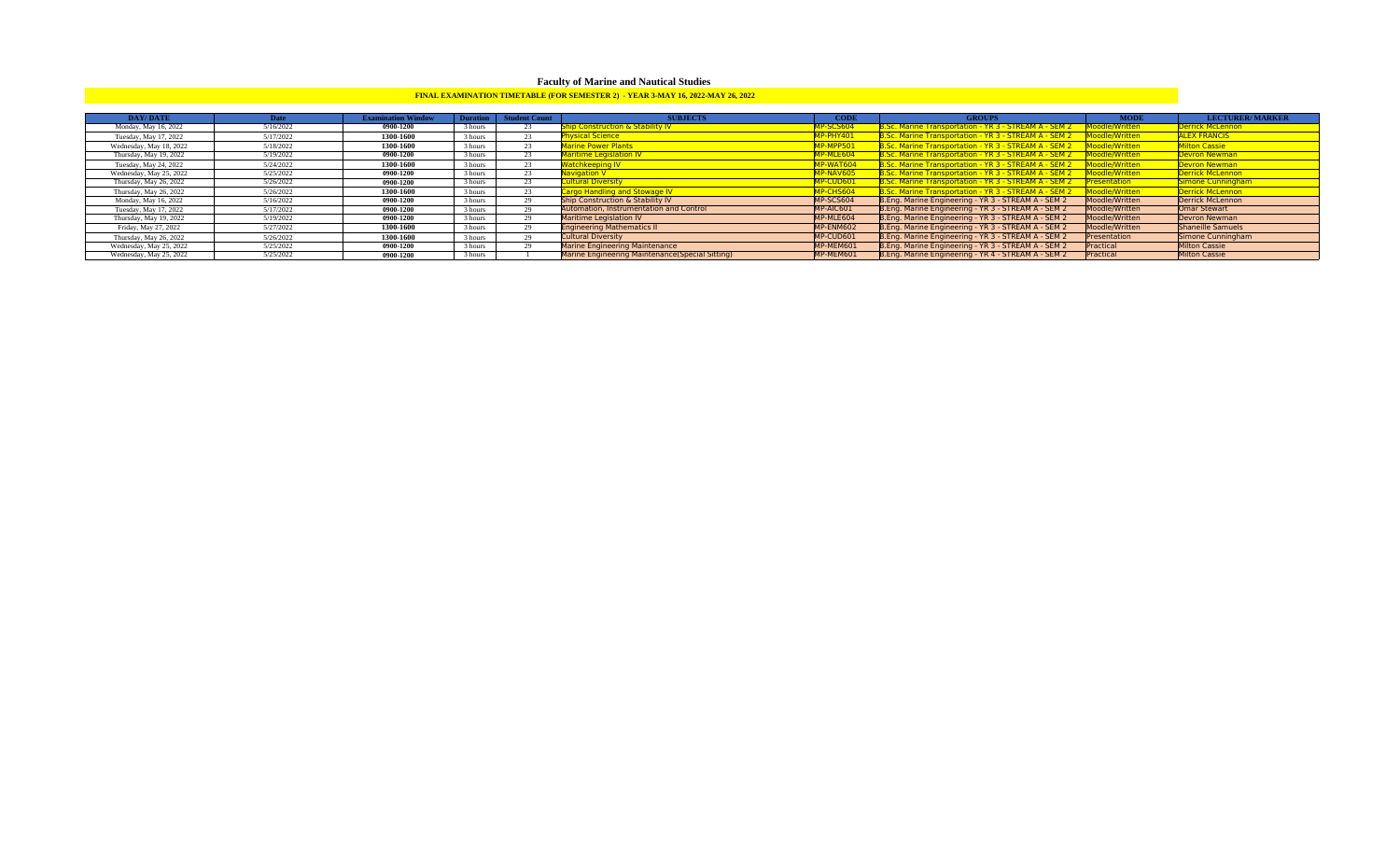# **Faculty of Marine and Nautical Studies**

# **FINAL EXAMINATION TIMETABLE (FOR SEMESTER 2) - YEAR 3-MAY 16, 2022-MAY 26, 2022**

| <b>DAY/DATE</b>         | Date      | <b>Examination Window</b> |         | Duration   Student Count | <b>SUBJECTS</b>                                 | <b>CODE</b>      | <b>GROUPS</b>                                                | <b>MODE</b>        | <b>LECTURER/MARKER</b> |
|-------------------------|-----------|---------------------------|---------|--------------------------|-------------------------------------------------|------------------|--------------------------------------------------------------|--------------------|------------------------|
| Monday, May 16, 2022    | 5/16/2022 | 0900-1200                 | 3 hours | 23.                      | hip Construction & Stability IV                 | <b>IP-SCS604</b> | 3.Sc. Marine Transportation - YR 3 - STREAM A - SEM 2        | Moodle/Written     | Derrick McLennon       |
| Tuesday, May 17, 2022   | 5/17/2022 | 1300-1600                 | 3 hours |                          | <b>hysical Science</b>                          | IP-PHY401        | 3.Sc. Marine Transportation - YR 3 - STREAM A - SEM 2        | Moodle/Written     | <b>ALEX FRANCIS</b>    |
| Wednesday, May 18, 2022 | 5/18/2022 | 1300-1600                 | 3 hours |                          | <b>Aarine Power Plants</b>                      | IP-MPP501        | 3.Sc. Marine Transportation - YR 3 - STREAM A - SEM 2        | Moodle/Written     | Milton Cassie          |
| Thursday, May 19, 2022  | 5/19/2022 | 0900-1200                 | 3 hours | 23.                      | <b>Maritime Legislation IV</b>                  | <b>IP-MLE604</b> | 3.Sc. Marine Transportation - YR 3 - STREAM A - SEM 2        | Moodle/Written     | Devron Newman          |
| Tuesday, May 24, 2022   | 5/24/2022 | 1300-1600                 | 3 hours | 23.                      | Vatchkeeping IV                                 | <b>IP-WAT604</b> | 3.Sc. Marine Transportation - YR 3 - STREAM A - SEM 2        | Moodle/Written     | Devron Newman          |
| Wednesday, May 25, 2022 | 5/25/2022 | 0900-1200                 | 3 hours | 23.                      | <b>Javigation V</b>                             | <b>IP-NAV605</b> | 3.Sc. Marine Transportation - YR 3 - STREAM A - SEM 2        | Moodle/Written     | Derrick McLennon       |
| Thursday, May 26, 2022  | 5/26/2022 | 0900-1200                 | 3 hours | $\mathbf{a}$             | <b>Cultural Diversity</b>                       | <b>IP-CUD601</b> | S.Sc. Marine Transportation - YR 3 - STREAM A - SEM 2        | <b>resentation</b> | Simone Cunningham      |
| Thursday, May 26, 2022  | 5/26/2022 | 1300-1600                 | 3 hours |                          | Cargo Handling and Stowage IV                   | <b>IP-CHS604</b> | <b>B.Sc. Marine Transportation - YR 3 - STREAM A - SEM 2</b> | Moodle/Written     | Derrick McLennon       |
| Monday, May 16, 2022    | 5/16/2022 | 0900-1200                 | 3 hours |                          | Ship Construction & Stability IV                | MP-SCS604        | B.Eng. Marine Engineering - YR 3 - STREAM A - SEM 2          | Moodle/Written     | Derrick McLennon       |
| Tuesday, May 17, 2022   | 5/17/2022 | 0900-1200                 | 3 hours |                          | Automation, Instrumentation and Control         | MP-AIC601        | B.Eng. Marine Engineering - YR 3 - STREAM A - SEM 2          | Moodle/Written     | Omar Stewart           |
| Thursday, May 19, 2022  | 5/19/2022 | 0900-1200                 | 3 hours | $\mathbf{a}$             | <b>Maritime Legislation IV</b>                  | MP-MLE604        | B.Eng. Marine Engineering - YR 3 - STREAM A - SEM 2          | Moodle/Written     | <b>Devron Newman</b>   |
| Friday, May 27, 2022    | 5/27/2022 | 1300-1600                 | 3 hours | $\mathbf{a}$             | <b>Engineering Mathematics II</b>               | MP-ENM602        | B.Eng. Marine Engineering - YR 3 - STREAM A - SEM 2          | Moodle/Written     | Shaneille Samuels      |
| Thursday, May 26, 2022  | 5/26/2022 | 1300-1600                 | 3 hours |                          | <b>Cultural Diversity</b>                       | MP-CUD601        | B.Eng. Marine Engineering - YR 3 - STREAM A - SEM 2          | Presentation       | Simone Cunningham      |
| Wednesday, May 25, 2022 | 5/25/2022 | 0900-1200                 | 3 hours | $\mathbf{a}$             | <b>Marine Engineering Maintenance</b>           | MP-MEM601        | B.Eng. Marine Engineering - YR 3 - STREAM A - SEM 2          | Practical          | <b>Milton Cassie</b>   |
| Wednesday, May 25, 2022 | 5/25/2022 | 0900-1200                 | 3 hours |                          | Marine Engineering Maintenance(Special Sitting) | MP-MEM601        | B.Eng. Marine Engineering - YR 4 - STREAM A - SEM 2          | Practical          | <b>Milton Cassie</b>   |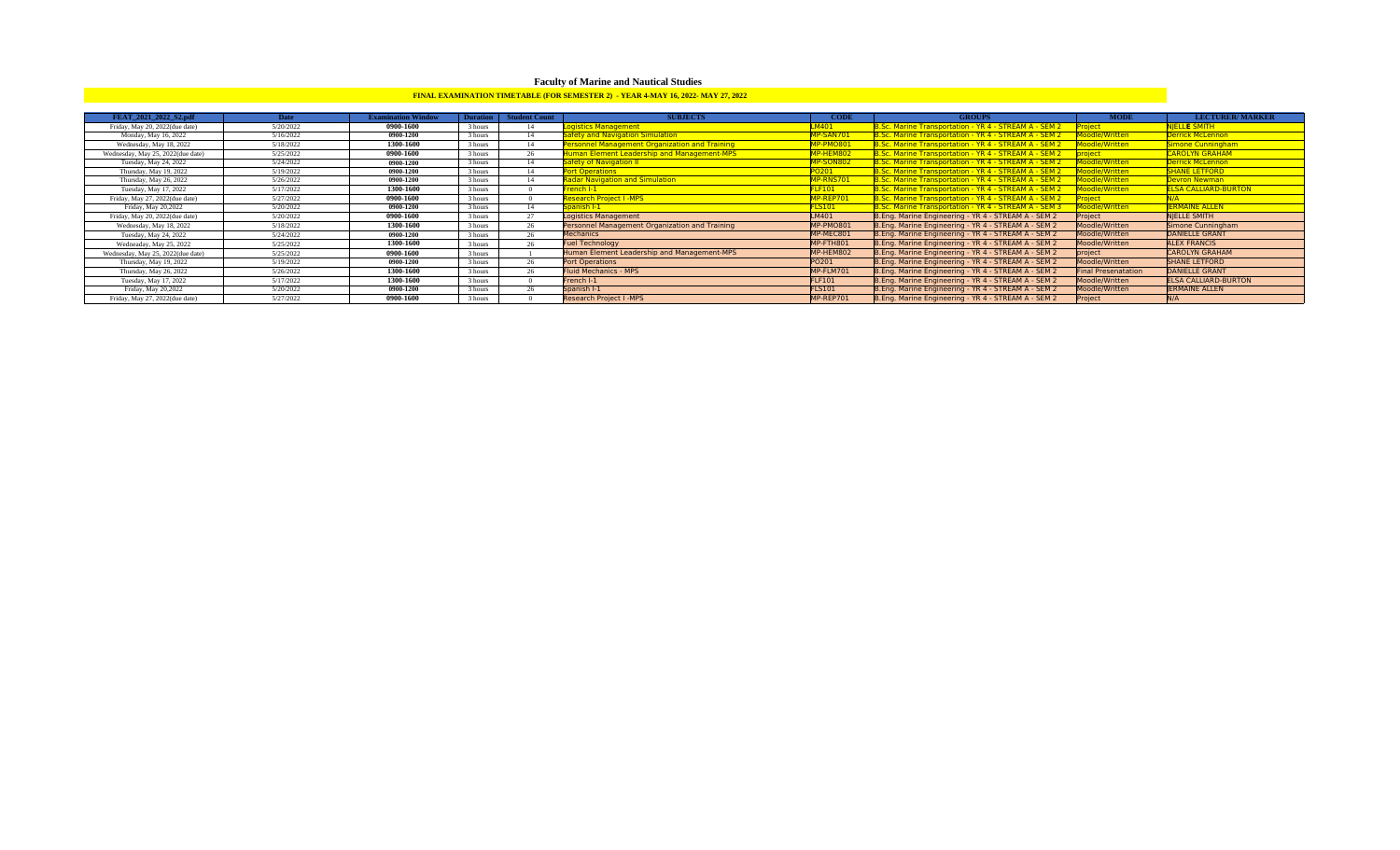# **Faculty of Marine and Nautical Studies**

### **FINAL EXAMINATION TIMETABLE (FOR SEMESTER 2) - YEAR 4-MAY 16, 2022- MAY 27, 2022**

| FEAT 2021 2022 S2.pdf             | <b>Date</b> | <b>Examination Window</b> | Duration | <b>Student Count</b> | <b>SUBJECTS</b>                                       | <b>CODE</b>   | <b>GROUPS</b>                                                | <b>MODE</b>                | <b>LECTURER/MARKER</b>      |
|-----------------------------------|-------------|---------------------------|----------|----------------------|-------------------------------------------------------|---------------|--------------------------------------------------------------|----------------------------|-----------------------------|
| Friday, May 20, 2022(due date)    | 5/20/2022   | 0900-1600                 | 3 hours  |                      | ogistics Management                                   | M401          | 3.Sc. Marine Transportation - YR 4 - STREAM A - SEM 2        |                            | <b>NIELLE SMITH</b>         |
| Monday, May 16, 2022              | 5/16/2022   | 0900-1200                 | 3 hours  | 14                   | afety and Navigation Simulation                       | MP-SAN701     | 8.Sc. Marine Transportation - YR 4 - STREAM A - SEM 2        | oodle/Written              | Derrick McLennon            |
| Wednesday, May 18, 2022           | 5/18/2022   | 1300-1600                 | 3 hours  | 14                   | <b>Personnel Management Organization and Training</b> | MP-PMO801     | 3.Sc. Marine Transportation - YR 4 - STREAM A - SEM 2        | Moodle/Written             | Simone Cunningham           |
| Wednesday, May 25, 2022(due date) | 5/25/2022   | 0900-1600                 | 3 hours  | 26                   | luman Element Leadership and Management-MPS           | MP-HEM802     | B.Sc. Marine Transportation - YR 4 - STREAM A - SEM 2        | project                    | <b>CAROLYN GRAHAM</b>       |
| Tuesday, May 24, 2022             | 5/24/2022   | 0900-1200                 | 3 hours  |                      | afety of Navigation II                                | MP-SON802     | B.Sc. Marine Transportation - YR 4 - STREAM A - SEM 2        | Moodle/Written             | Derrick McLennon            |
| Thursday, May 19, 2022            | 5/19/2022   | 0900-1200                 | 3 hours  | 14                   | ort Operations                                        | PO201         | B.Sc. Marine Transportation - YR 4 - STREAM A - SEM 2        | Moodle/Written             | <b>SHANE LETFORD</b>        |
| Thursday, May 26, 2022            | 5/26/2022   | 0900-1200                 | 3 hours  | 14                   | adar Navigation and Simulation                        | MP-RNS701     | B.Sc. Marine Transportation - YR 4 - STREAM A - SEM 2        | Moodle/Written             | Devron Newman               |
| Tuesday, May 17, 2022             | 5/17/2022   | 1300-1600                 | 3 hours  |                      | rench I-1                                             | FLF101        | B.Sc. Marine Transportation - YR 4 - STREAM A - SEM 2        | Moodle/Written             | <b>ELSA CALLIARD-BURTON</b> |
| Friday, May 27, 2022(due date)    | 5/27/2022   | 0900-1600                 | 3 hours  |                      | <b>Research Project L-MPS</b>                         | MP-REP701     | <b>B.Sc. Marine Transportation - YR 4 - STREAM A - SEM 2</b> |                            |                             |
| Friday, May 20,2022               | 5/20/2022   | 0900-1200                 | 3 hours  | 14                   | panish I-1                                            | FLS101        | B.Sc. Marine Transportation - YR 4 - STREAM A - SEM 3        | Moodle/Written             | <b>ERMAINE ALLEN</b>        |
| Friday, May 20, 2022(due date)    | 5/20/2022   | 0900-1600                 | 3 hours  | 27                   | Logistics Management                                  | LM401         | B.Eng. Marine Engineering - YR 4 - STREAM A - SEM 2          | Project                    | NIELLE SMITH                |
| Wednesday, May 18, 2022           | 5/18/2022   | 1300-1600                 | 3 hours  | 26                   | Personnel Management Organization and Training        | MP-PMO801     | B.Eng. Marine Engineering - YR 4 - STREAM A - SEM 2          | Moodle/Written             | Simone Cunningham           |
| Tuesday, May 24, 2022             | 5/24/2022   | 0900-1200                 | 3 hours  | 26                   | <b>Mechanics</b>                                      | MP-MEC801     | B.Eng. Marine Engineering - YR 4 - STREAM A - SEM 2          | Moodle/Written             | <b>DANIELLE GRANT</b>       |
| Wedneaday, May 25, 2022           | 5/25/2022   | 1300-1600                 | 3 hours  | 26                   | <b>Fuel Technology</b>                                | MP-FTH801     | B.Eng. Marine Engineering - YR 4 - STREAM A - SEM 2          | Moodle/Written             | <b>ALEX FRANCIS</b>         |
| Wednesday, May 25, 2022(due date) | 5/25/2022   | 0900-1600                 | 3 hours  |                      | Human Element Leadership and Management-MPS           | MP-HEM802     | B.Eng. Marine Engineering - YR 4 - STREAM A - SEM 2          | project                    | <b>CAROLYN GRAHAM</b>       |
| Thursday, May 19, 2022            | 5/19/2022   | 0900-1200                 | 3 hours  | 26                   | Port Operations                                       | PO201         | B.Eng. Marine Engineering - YR 4 - STREAM A - SEM 2          | Moodle/Written             | <b>SHANE LETFORD</b>        |
| Thursday, May 26, 2022            | 5/26/2022   | 1300-1600                 | 3 hours  | 26                   | <b>Fluid Mechanics - MPS</b>                          | MP-FLM701     | B.Eng. Marine Engineering - YR 4 - STREAM A - SEM 2          | <b>Final Presenatation</b> | <b>DANIELLE GRANT</b>       |
| Tuesday, May 17, 2022             | 5/17/2022   | 1300-1600                 | 3 hours  |                      | French I-1                                            | <b>FLF101</b> | B.Eng. Marine Engineering - YR 4 - STREAM A - SEM 2          | Moodle/Written             | <b>ELSA CALLIARD-BURTON</b> |
| Friday, May 20,2022               | 5/20/2022   | 0900-1200                 | 3 hours  |                      | Spanish I-1                                           | <b>FLS101</b> | B.Eng. Marine Engineering - YR 4 - STREAM A - SEM 2          | Moodle/Written             | <b>JERMAINE ALLEN</b>       |
| Friday, May 27, 2022(due date)    | 5/27/2022   | 0900-1600                 | 3 hours  |                      | <b>Research Project I -MPS</b>                        | MP-REP701     | B.Eng. Marine Engineering - YR 4 - STREAM A - SEM 2          | Project                    |                             |